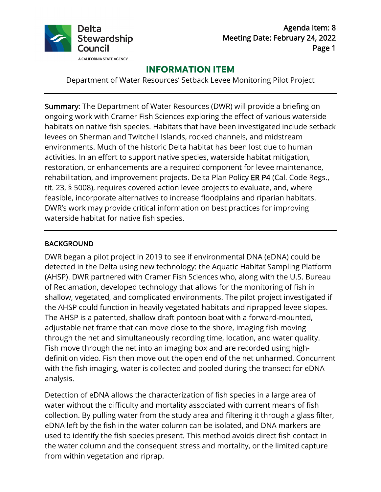

Agenda Item: 8 Meeting Date: February 24, 2022 Page 1

# **INFORMATION ITEM**

Department of Water Resources' Setback Levee Monitoring Pilot Project

 environments. Much of the historic Delta habitat has been lost due to human rehabilitation, and improvement projects. Delta Plan Policy ER P4 (Cal. Code Regs., tit. 23, § 5008), requires covered action levee projects to evaluate, and, where DWR's work may provide critical information on best practices for improving waterside habitat for native fish species. Summary: The Department of Water Resources (DWR) will provide a briefing on ongoing work with Cramer Fish Sciences exploring the effect of various waterside habitats on native fish species. Habitats that have been investigated include setback levees on Sherman and Twitchell Islands, rocked channels, and midstream activities. In an effort to support native species, waterside habitat mitigation, restoration, or enhancements are a required component for levee maintenance, feasible, incorporate alternatives to increase floodplains and riparian habitats.

# BACKGROUND

 detected in the Delta using new technology: the Aquatic Habitat Sampling Platform (AHSP). DWR partnered with Cramer Fish Sciences who, along with the U.S. Bureau the AHSP could function in heavily vegetated habitats and riprapped levee slopes. Fish move through the net into an imaging box and are recorded using high- definition video. Fish then move out the open end of the net unharmed. Concurrent DWR began a pilot project in 2019 to see if environmental DNA (eDNA) could be of Reclamation, developed technology that allows for the monitoring of fish in shallow, vegetated, and complicated environments. The pilot project investigated if The AHSP is a patented, shallow draft pontoon boat with a forward-mounted, adjustable net frame that can move close to the shore, imaging fish moving through the net and simultaneously recording time, location, and water quality. with the fish imaging, water is collected and pooled during the transect for eDNA analysis.

Detection of eDNA allows the characterization of fish species in a large area of water without the difficulty and mortality associated with current means of fish collection. By pulling water from the study area and filtering it through a glass filter, eDNA left by the fish in the water column can be isolated, and DNA markers are used to identify the fish species present. This method avoids direct fish contact in the water column and the consequent stress and mortality, or the limited capture from within vegetation and riprap.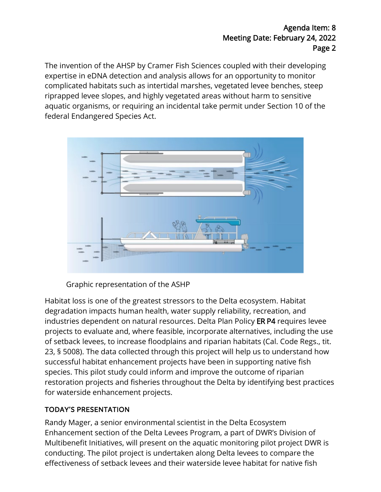The invention of the AHSP by Cramer Fish Sciences coupled with their developing aquatic organisms, or requiring an incidental take permit under Section 10 of the expertise in eDNA detection and analysis allows for an opportunity to monitor complicated habitats such as intertidal marshes, vegetated levee benches, steep riprapped levee slopes, and highly vegetated areas without harm to sensitive federal Endangered Species Act.



Graphic representation of the ASHP

 industries dependent on natural resources. Delta Plan Policy ER P4 requires levee 23, § 5008). The data collected through this project will help us to understand how species. This pilot study could inform and improve the outcome of riparian Habitat loss is one of the greatest stressors to the Delta ecosystem. Habitat degradation impacts human health, water supply reliability, recreation, and projects to evaluate and, where feasible, incorporate alternatives, including the use of setback levees, to increase floodplains and riparian habitats (Cal. Code Regs., tit. successful habitat enhancement projects have been in supporting native fish restoration projects and fisheries throughout the Delta by identifying best practices for waterside enhancement projects.

# TODAY'S PRESENTATION

 Multibenefit Initiatives, will present on the aquatic monitoring pilot project DWR is Randy Mager, a senior environmental scientist in the Delta Ecosystem Enhancement section of the Delta Levees Program, a part of DWR's Division of conducting. The pilot project is undertaken along Delta levees to compare the effectiveness of setback levees and their waterside levee habitat for native fish